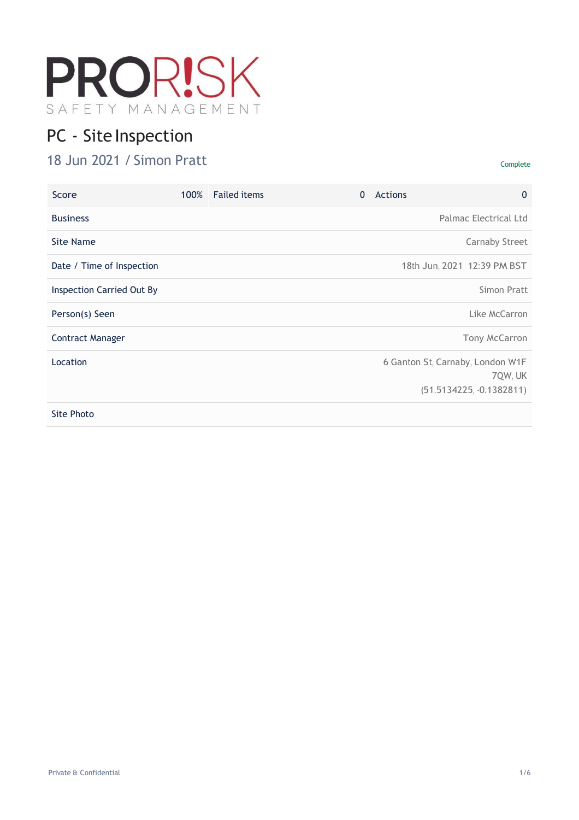

# PC - Site Inspection

# 18 Jun 2021 / Simon Pratt Complete

| Score                            | 100% | <b>Failed items</b> | $\mathbf{0}$ | Actions | $\mathbf{0}$                                                              |
|----------------------------------|------|---------------------|--------------|---------|---------------------------------------------------------------------------|
| <b>Business</b>                  |      |                     |              |         | Palmac Electrical Ltd                                                     |
| Site Name                        |      |                     |              |         | <b>Carnaby Street</b>                                                     |
| Date / Time of Inspection        |      |                     |              |         | 18th Jun, 2021 12:39 PM BST                                               |
| <b>Inspection Carried Out By</b> |      |                     |              |         | Simon Pratt                                                               |
| Person(s) Seen                   |      |                     |              |         | Like McCarron                                                             |
| <b>Contract Manager</b>          |      |                     |              |         | Tony McCarron                                                             |
| Location                         |      |                     |              |         | 6 Ganton St, Carnaby, London W1F<br>7QW, UK<br>$(51.5134225, -0.1382811)$ |
| Site Photo                       |      |                     |              |         |                                                                           |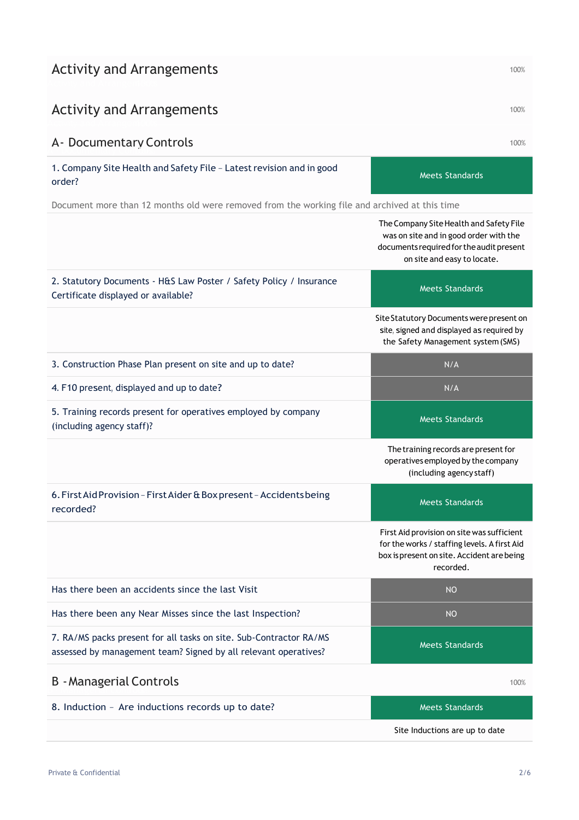| <b>Activity and Arrangements</b> |  |
|----------------------------------|--|
|----------------------------------|--|

## Activity and Arrangements and the state of the state of the state  $100\%$

# A- Documentary Controls 100%

1. Company Site Health and Safety File - Latest revision and in good order?

Document more than 12 months old were removed from the working file and archived at this time

|                                                                                                                                       | The Company Site Health and Safety File<br>was on site and in good order with the<br>documents required for the audit present<br>on site and easy to locate. |
|---------------------------------------------------------------------------------------------------------------------------------------|--------------------------------------------------------------------------------------------------------------------------------------------------------------|
| 2. Statutory Documents - H&S Law Poster / Safety Policy / Insurance<br>Certificate displayed or available?                            | <b>Meets Standards</b>                                                                                                                                       |
|                                                                                                                                       | Site Statutory Documents were present on<br>site, signed and displayed as required by<br>the Safety Management system (SMS)                                  |
| 3. Construction Phase Plan present on site and up to date?                                                                            | N/A                                                                                                                                                          |
| 4. F10 present, displayed and up to date?                                                                                             | N/A                                                                                                                                                          |
| 5. Training records present for operatives employed by company<br>(including agency staff)?                                           | <b>Meets Standards</b>                                                                                                                                       |
|                                                                                                                                       | The training records are present for<br>operatives employed by the company<br>(including agency staff)                                                       |
| 6. First Aid Provision - First Aider & Box present - Accidents being<br>recorded?                                                     | <b>Meets Standards</b>                                                                                                                                       |
|                                                                                                                                       | First Aid provision on site was sufficient<br>for the works / staffing levels. A first Aid<br>box is present on site. Accident are being<br>recorded.        |
| Has there been an accidents since the last Visit                                                                                      | <b>NO</b>                                                                                                                                                    |
| Has there been any Near Misses since the last Inspection?                                                                             | <b>NO</b>                                                                                                                                                    |
| 7. RA/MS packs present for all tasks on site. Sub-Contractor RA/MS<br>assessed by management team? Signed by all relevant operatives? | <b>Meets Standards</b>                                                                                                                                       |
| <b>B</b> - Managerial Controls                                                                                                        | 100%                                                                                                                                                         |
| 8. Induction - Are inductions records up to date?                                                                                     | <b>Meets Standards</b>                                                                                                                                       |
|                                                                                                                                       | Site Inductions are up to date                                                                                                                               |

Meets Standards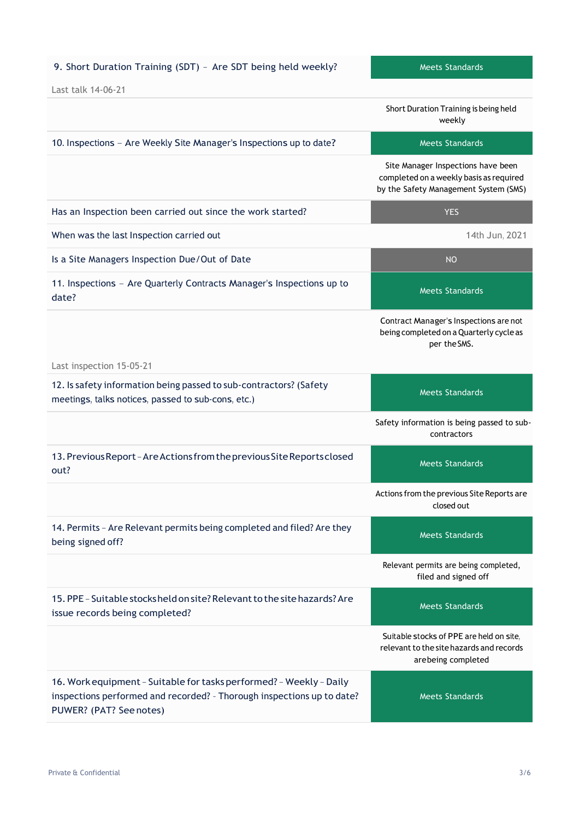## 9. Short Duration Training (SDT) - Are SDT being held weekly? Meets Standards

|                                                                                                                                                                          | Short Duration Training is being held<br>weekly                                                                        |
|--------------------------------------------------------------------------------------------------------------------------------------------------------------------------|------------------------------------------------------------------------------------------------------------------------|
| 10. Inspections - Are Weekly Site Manager's Inspections up to date?                                                                                                      | <b>Meets Standards</b>                                                                                                 |
|                                                                                                                                                                          | Site Manager Inspections have been<br>completed on a weekly basis as required<br>by the Safety Management System (SMS) |
| Has an Inspection been carried out since the work started?                                                                                                               | <b>YES</b>                                                                                                             |
| When was the last Inspection carried out                                                                                                                                 | 14th Jun, 2021                                                                                                         |
| Is a Site Managers Inspection Due/Out of Date                                                                                                                            | <b>NO</b>                                                                                                              |
| 11. Inspections - Are Quarterly Contracts Manager's Inspections up to<br>date?                                                                                           | <b>Meets Standards</b>                                                                                                 |
|                                                                                                                                                                          | Contract Manager's Inspections are not<br>being completed on a Quarterly cycle as<br>per the SMS.                      |
| Last inspection 15-05-21                                                                                                                                                 |                                                                                                                        |
| 12. Is safety information being passed to sub-contractors? (Safety<br>meetings, talks notices, passed to sub-cons, etc.)                                                 | <b>Meets Standards</b>                                                                                                 |
|                                                                                                                                                                          | Safety information is being passed to sub-<br>contractors                                                              |
| 13. Previous Report - Are Actions from the previous Site Reports closed<br>out?                                                                                          | <b>Meets Standards</b>                                                                                                 |
|                                                                                                                                                                          | Actions from the previous Site Reports are<br>closed out                                                               |
| 14. Permits - Are Relevant permits being completed and filed? Are they<br>being signed off?                                                                              | <b>Meets Standards</b>                                                                                                 |
|                                                                                                                                                                          | Relevant permits are being completed,<br>filed and signed off                                                          |
| 15. PPE - Suitable stocks held on site? Relevant to the site hazards? Are<br>issue records being completed?                                                              | <b>Meets Standards</b>                                                                                                 |
|                                                                                                                                                                          | Suitable stocks of PPE are held on site,<br>relevant to the site hazards and records<br>arebeing completed             |
| 16. Work equipment - Suitable for tasks performed? - Weekly - Daily<br>inspections performed and recorded? - Thorough inspections up to date?<br>PUWER? (PAT? See notes) | <b>Meets Standards</b>                                                                                                 |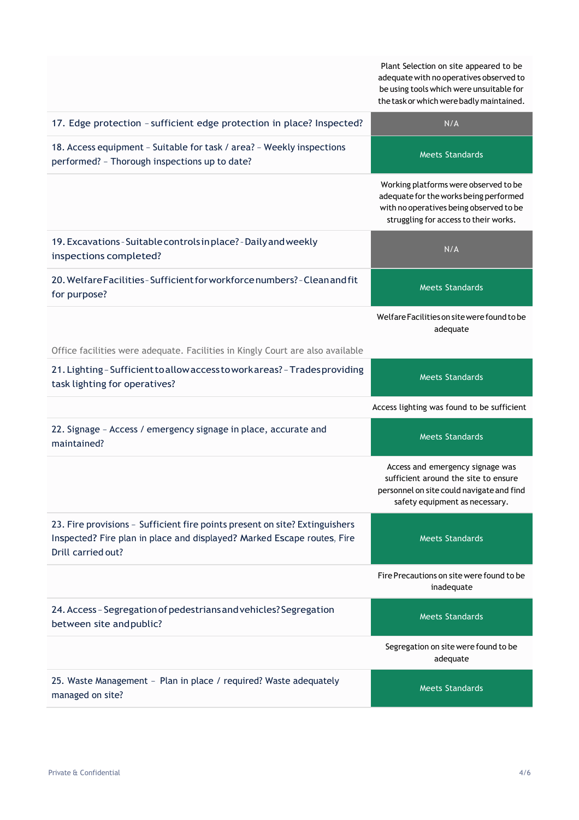Plant Selection on site appeared to be adequatewith no operatives observed to be using tools which were unsuitable for the task or which were badly maintained.

| 17. Edge protection - sufficient edge protection in place? Inspected?                                                                                                        | N/A                                                                                                                                                                 |
|------------------------------------------------------------------------------------------------------------------------------------------------------------------------------|---------------------------------------------------------------------------------------------------------------------------------------------------------------------|
| 18. Access equipment - Suitable for task / area? - Weekly inspections<br>performed? - Thorough inspections up to date?                                                       | <b>Meets Standards</b>                                                                                                                                              |
|                                                                                                                                                                              | Working platforms were observed to be<br>adequate for the works being performed<br>with no operatives being observed to be<br>struggling for access to their works. |
| 19. Excavations - Suitable controls in place? - Daily and weekly<br>inspections completed?                                                                                   | N/A                                                                                                                                                                 |
| 20. Welfare Facilities - Sufficient for workforce numbers? - Clean and fit<br>for purpose?                                                                                   | <b>Meets Standards</b>                                                                                                                                              |
|                                                                                                                                                                              | Welfare Facilities on site were found to be<br>adequate                                                                                                             |
| Office facilities were adequate. Facilities in Kingly Court are also available                                                                                               |                                                                                                                                                                     |
| 21. Lighting - Sufficient to allow access to work areas? - Trades providing<br>task lighting for operatives?                                                                 | <b>Meets Standards</b>                                                                                                                                              |
|                                                                                                                                                                              | Access lighting was found to be sufficient                                                                                                                          |
| 22. Signage - Access / emergency signage in place, accurate and<br>maintained?                                                                                               | <b>Meets Standards</b>                                                                                                                                              |
|                                                                                                                                                                              | Access and emergency signage was<br>sufficient around the site to ensure<br>personnel on site could navigate and find<br>safety equipment as necessary.             |
| 23. Fire provisions - Sufficient fire points present on site? Extinguishers<br>Inspected? Fire plan in place and displayed? Marked Escape routes, Fire<br>Drill carried out? | <b>Meets Standards</b>                                                                                                                                              |
|                                                                                                                                                                              | Fire Precautions on site were found to be<br>inadequate                                                                                                             |
| 24. Access - Segregation of pedestrians and vehicles? Segregation<br>between site and public?                                                                                | <b>Meets Standards</b>                                                                                                                                              |
|                                                                                                                                                                              | Segregation on site were found to be<br>adequate                                                                                                                    |
| 25. Waste Management - Plan in place / required? Waste adequately<br>managed on site?                                                                                        | <b>Meets Standards</b>                                                                                                                                              |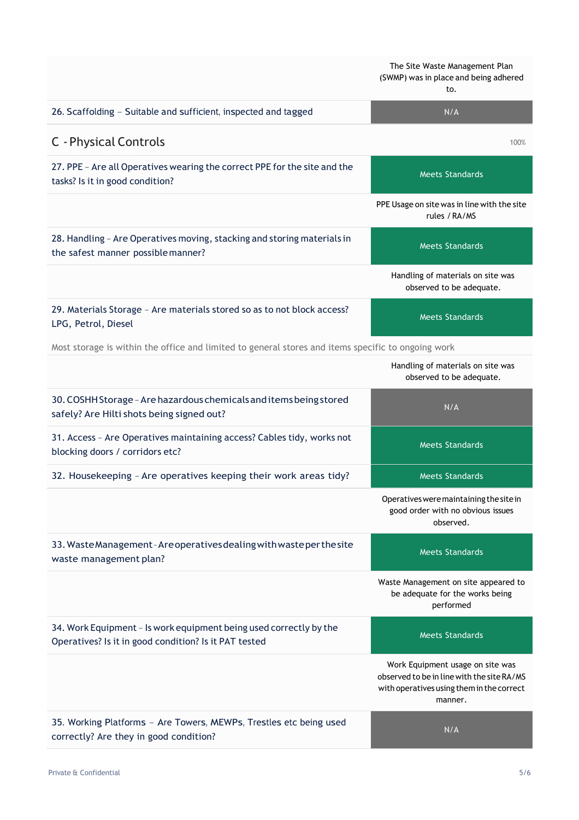(SWMP) was in place and being adhered to. 26. Scaffolding – Suitable and sufficient, inspected and tagged N/A C - Physical Controls 100% 27. PPE – Are all Operatives wearing the correct PPE for the site and the Meets Standards PPE Usage on site was in line with the site rules /RA/MS 28. Handling - Are Operatives moving, stacking and storing materials in Meets Standards Handling of materials on site was observed to be adequate. 29. Materials Storage – Are materials stored so as to not block access? Meets Standards

The Site Waste Management Plan

Most storage is within the office and limited to general stores and items specific to ongoing work

|                                                                                                                             | Handling of materials on site was<br>observed to be adequate.                                                                          |
|-----------------------------------------------------------------------------------------------------------------------------|----------------------------------------------------------------------------------------------------------------------------------------|
| 30. COSHH Storage - Are hazardous chemicals and items being stored<br>safely? Are Hilti shots being signed out?             | N/A                                                                                                                                    |
| 31. Access - Are Operatives maintaining access? Cables tidy, works not<br>blocking doors / corridors etc?                   | <b>Meets Standards</b>                                                                                                                 |
| 32. Housekeeping - Are operatives keeping their work areas tidy?                                                            | <b>Meets Standards</b>                                                                                                                 |
|                                                                                                                             | Operatives were maintaining the site in<br>good order with no obvious issues<br>observed.                                              |
| 33. Waste Management - Are operatives dealing with waste per the site<br>waste management plan?                             | Meets Standards                                                                                                                        |
|                                                                                                                             | Waste Management on site appeared to<br>be adequate for the works being<br>performed                                                   |
| 34. Work Equipment - Is work equipment being used correctly by the<br>Operatives? Is it in good condition? Is it PAT tested | Meets Standards                                                                                                                        |
|                                                                                                                             | Work Equipment usage on site was<br>observed to be in line with the site RA/MS<br>with operatives using them in the correct<br>manner. |
| 35. Working Platforms - Are Towers, MEWPs, Trestles etc being used<br>correctly? Are they in good condition?                | N/A                                                                                                                                    |

tasks? Is it in good condition?

LPG, Petrol, Diesel

the safest manner possiblemanner?